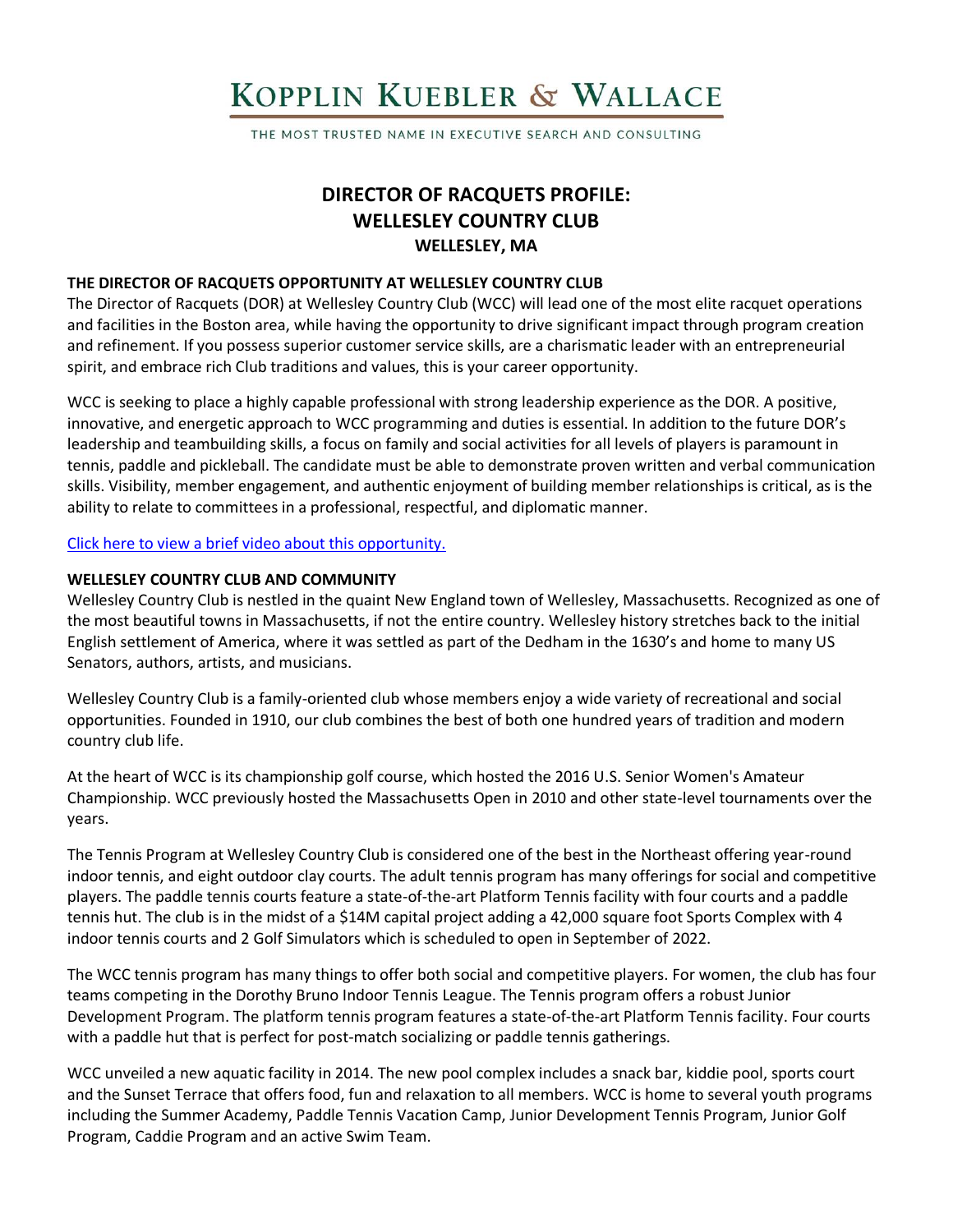# KOPPLIN KUEBLER & WALLACE

THE MOST TRUSTED NAME IN EXECUTIVE SEARCH AND CONSULTING

## **DIRECTOR OF RACQUETS PROFILE: WELLESLEY COUNTRY CLUB WELLESLEY, MA**

## **THE DIRECTOR OF RACQUETS OPPORTUNITY AT WELLESLEY COUNTRY CLUB**

The Director of Racquets (DOR) at Wellesley Country Club (WCC) will lead one of the most elite racquet operations and facilities in the Boston area, while having the opportunity to drive significant impact through program creation and refinement. If you possess superior customer service skills, are a charismatic leader with an entrepreneurial spirit, and embrace rich Club traditions and values, this is your career opportunity.

WCC is seeking to place a highly capable professional with strong leadership experience as the DOR. A positive, innovative, and energetic approach to WCC programming and duties is essential. In addition to the future DOR's leadership and teambuilding skills, a focus on family and social activities for all levels of players is paramount in tennis, paddle and pickleball. The candidate must be able to demonstrate proven written and verbal communication skills. Visibility, member engagement, and authentic enjoyment of building member relationships is critical, as is the ability to relate to committees in a professional, respectful, and diplomatic manner.

#### [Click here to view a brief video about this opportunity.](https://www.youtube.com/watch?v=eFhn4vjm2-w)

## **WELLESLEY COUNTRY CLUB AND COMMUNITY**

Wellesley Country Club is nestled in the quaint New England town of Wellesley, Massachusetts. Recognized as one of the most beautiful towns in Massachusetts, if not the entire country. Wellesley history stretches back to the initial English settlement of America, where it was settled as part of the Dedham in the 1630's and home to many US Senators, authors, artists, and musicians.

Wellesley Country Club is a family-oriented club whose members enjoy a wide variety of recreational and social opportunities. Founded in 1910, our club combines the best of both one hundred years of tradition and modern country club life.

At the heart of WCC is its championship golf course, which hosted the 2016 U.S. Senior Women's Amateur Championship. WCC previously hosted the Massachusetts Open in 2010 and other state-level tournaments over the years.

The Tennis Program at Wellesley Country Club is considered one of the best in the Northeast offering year-round indoor tennis, and eight outdoor clay courts. The adult tennis program has many offerings for social and competitive players. The paddle tennis courts feature a state-of-the-art Platform Tennis facility with four courts and a paddle tennis hut. The club is in the midst of a \$14M capital project adding a 42,000 square foot Sports Complex with 4 indoor tennis courts and 2 Golf Simulators which is scheduled to open in September of 2022.

The WCC tennis program has many things to offer both social and competitive players. For women, the club has four teams competing in the Dorothy Bruno Indoor Tennis League. The Tennis program offers a robust Junior Development Program. The platform tennis program features a state-of-the-art Platform Tennis facility. Four courts with a paddle hut that is perfect for post-match socializing or paddle tennis gatherings.

WCC unveiled a new aquatic facility in 2014. The new pool complex includes a snack bar, kiddie pool, sports court and the Sunset Terrace that offers food, fun and relaxation to all members. WCC is home to several youth programs including the Summer Academy, Paddle Tennis Vacation Camp, Junior Development Tennis Program, Junior Golf Program, Caddie Program and an active Swim Team.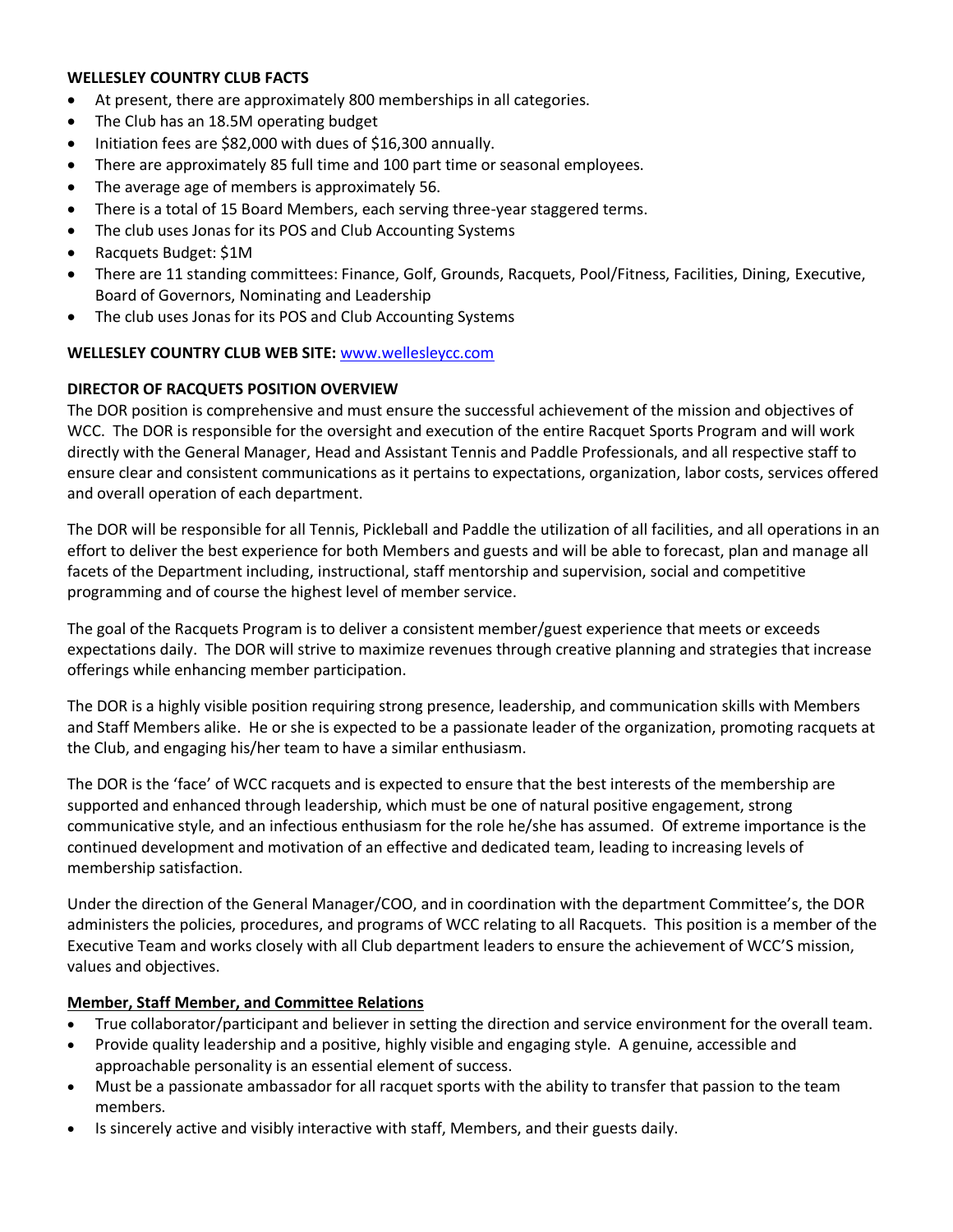#### **WELLESLEY COUNTRY CLUB FACTS**

- At present, there are approximately 800 memberships in all categories.
- The Club has an 18.5M operating budget
- Initiation fees are \$82,000 with dues of \$16,300 annually.
- There are approximately 85 full time and 100 part time or seasonal employees.
- The average age of members is approximately 56.
- There is a total of 15 Board Members, each serving three-year staggered terms.
- The club uses Jonas for its POS and Club Accounting Systems
- Racquets Budget: \$1M
- There are 11 standing committees: Finance, Golf, Grounds, Racquets, Pool/Fitness, Facilities, Dining, Executive, Board of Governors, Nominating and Leadership
- The club uses Jonas for its POS and Club Accounting Systems

## **WELLESLEY COUNTRY CLUB WEB SITE:** [www.wellesleycc.com](http://www.wellesleycc.com/)

## **DIRECTOR OF RACQUETS POSITION OVERVIEW**

The DOR position is comprehensive and must ensure the successful achievement of the mission and objectives of WCC. The DOR is responsible for the oversight and execution of the entire Racquet Sports Program and will work directly with the General Manager, Head and Assistant Tennis and Paddle Professionals, and all respective staff to ensure clear and consistent communications as it pertains to expectations, organization, labor costs, services offered and overall operation of each department.

The DOR will be responsible for all Tennis, Pickleball and Paddle the utilization of all facilities, and all operations in an effort to deliver the best experience for both Members and guests and will be able to forecast, plan and manage all facets of the Department including, instructional, staff mentorship and supervision, social and competitive programming and of course the highest level of member service.

The goal of the Racquets Program is to deliver a consistent member/guest experience that meets or exceeds expectations daily. The DOR will strive to maximize revenues through creative planning and strategies that increase offerings while enhancing member participation.

The DOR is a highly visible position requiring strong presence, leadership, and communication skills with Members and Staff Members alike. He or she is expected to be a passionate leader of the organization, promoting racquets at the Club, and engaging his/her team to have a similar enthusiasm.

The DOR is the 'face' of WCC racquets and is expected to ensure that the best interests of the membership are supported and enhanced through leadership, which must be one of natural positive engagement, strong communicative style, and an infectious enthusiasm for the role he/she has assumed. Of extreme importance is the continued development and motivation of an effective and dedicated team, leading to increasing levels of membership satisfaction.

Under the direction of the General Manager/COO, and in coordination with the department Committee's, the DOR administers the policies, procedures, and programs of WCC relating to all Racquets. This position is a member of the Executive Team and works closely with all Club department leaders to ensure the achievement of WCC'S mission, values and objectives.

## **Member, Staff Member, and Committee Relations**

- True collaborator/participant and believer in setting the direction and service environment for the overall team.
- Provide quality leadership and a positive, highly visible and engaging style. A genuine, accessible and approachable personality is an essential element of success.
- Must be a passionate ambassador for all racquet sports with the ability to transfer that passion to the team members.
- Is sincerely active and visibly interactive with staff, Members, and their guests daily.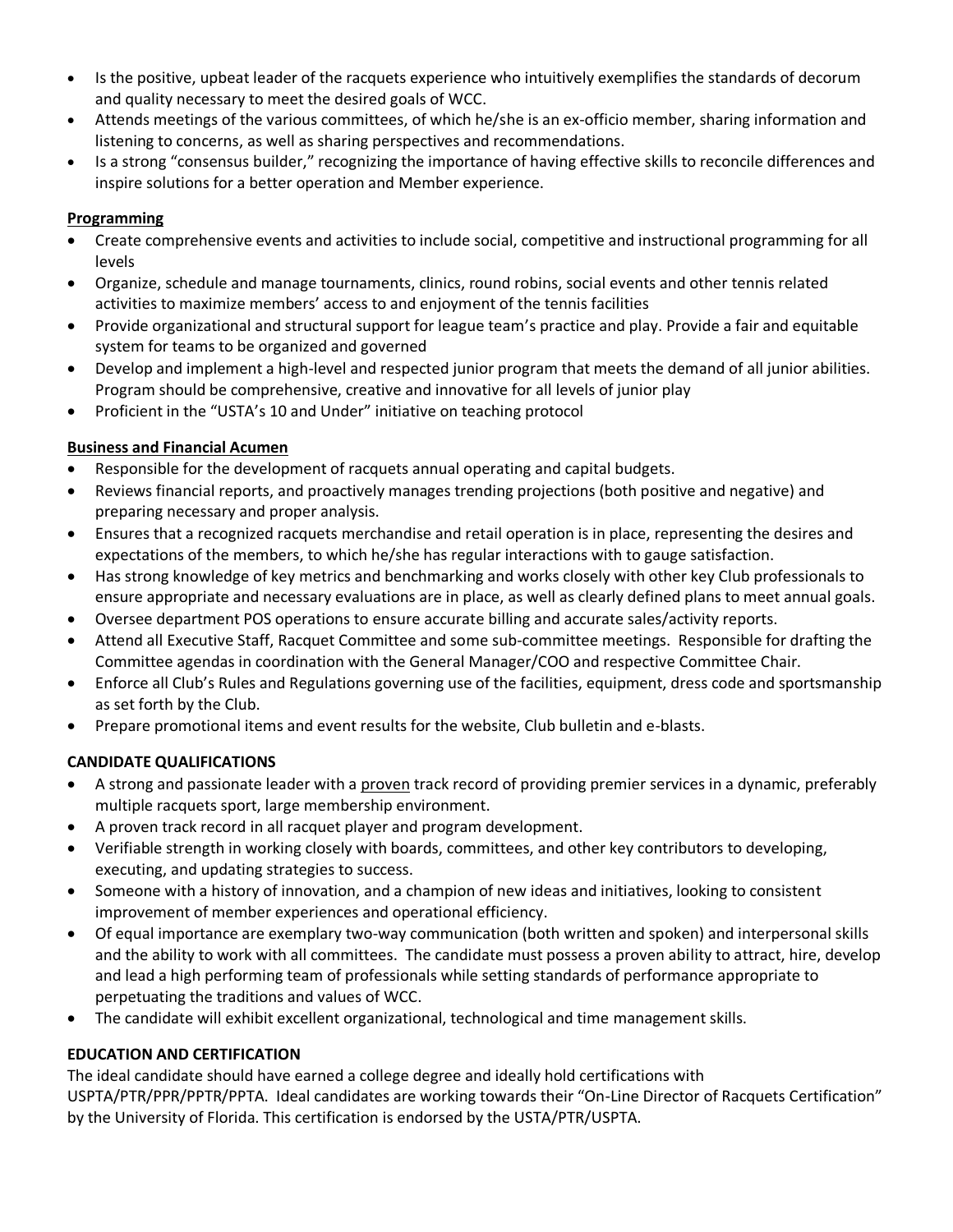- Is the positive, upbeat leader of the racquets experience who intuitively exemplifies the standards of decorum and quality necessary to meet the desired goals of WCC.
- Attends meetings of the various committees, of which he/she is an ex-officio member, sharing information and listening to concerns, as well as sharing perspectives and recommendations.
- Is a strong "consensus builder," recognizing the importance of having effective skills to reconcile differences and inspire solutions for a better operation and Member experience.

## **Programming**

- Create comprehensive events and activities to include social, competitive and instructional programming for all levels
- Organize, schedule and manage tournaments, clinics, round robins, social events and other tennis related activities to maximize members' access to and enjoyment of the tennis facilities
- Provide organizational and structural support for league team's practice and play. Provide a fair and equitable system for teams to be organized and governed
- Develop and implement a high-level and respected junior program that meets the demand of all junior abilities. Program should be comprehensive, creative and innovative for all levels of junior play
- Proficient in the "USTA's 10 and Under" initiative on teaching protocol

## **Business and Financial Acumen**

- Responsible for the development of racquets annual operating and capital budgets.
- Reviews financial reports, and proactively manages trending projections (both positive and negative) and preparing necessary and proper analysis.
- Ensures that a recognized racquets merchandise and retail operation is in place, representing the desires and expectations of the members, to which he/she has regular interactions with to gauge satisfaction.
- Has strong knowledge of key metrics and benchmarking and works closely with other key Club professionals to ensure appropriate and necessary evaluations are in place, as well as clearly defined plans to meet annual goals.
- Oversee department POS operations to ensure accurate billing and accurate sales/activity reports.
- Attend all Executive Staff, Racquet Committee and some sub-committee meetings. Responsible for drafting the Committee agendas in coordination with the General Manager/COO and respective Committee Chair.
- Enforce all Club's Rules and Regulations governing use of the facilities, equipment, dress code and sportsmanship as set forth by the Club.
- Prepare promotional items and event results for the website, Club bulletin and e-blasts.

## **CANDIDATE QUALIFICATIONS**

- A strong and passionate leader with a proven track record of providing premier services in a dynamic, preferably multiple racquets sport, large membership environment.
- A proven track record in all racquet player and program development.
- Verifiable strength in working closely with boards, committees, and other key contributors to developing, executing, and updating strategies to success.
- Someone with a history of innovation, and a champion of new ideas and initiatives, looking to consistent improvement of member experiences and operational efficiency.
- Of equal importance are exemplary two-way communication (both written and spoken) and interpersonal skills and the ability to work with all committees. The candidate must possess a proven ability to attract, hire, develop and lead a high performing team of professionals while setting standards of performance appropriate to perpetuating the traditions and values of WCC.
- The candidate will exhibit excellent organizational, technological and time management skills.

## **EDUCATION AND CERTIFICATION**

The ideal candidate should have earned a college degree and ideally hold certifications with USPTA/PTR/PPR/PPTR/PPTA. Ideal candidates are working towards their "On-Line Director of Racquets Certification" by the University of Florida. This certification is endorsed by the USTA/PTR/USPTA.